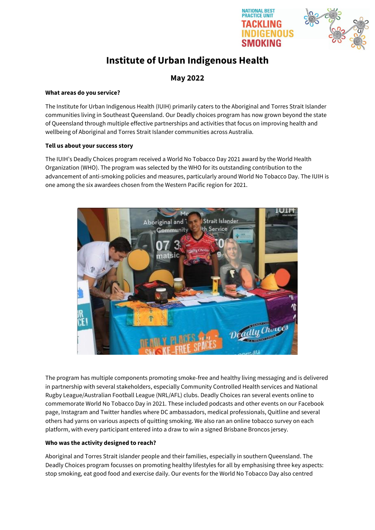

**NATIONAL BEST RACTICE UNIT** 

# **Institute of Urban Indigenous Health**

# **May 2022**

#### **What areas do you service?**

The Institute for Urban Indigenous Health (IUIH) primarily caters to the Aboriginal and Torres Strait Islander communities living in Southeast Queensland. Our Deadly choices program has now grown beyond the state of Queensland through multiple effective partnerships and activities that focus on improving health and wellbeing of Aboriginal and Torres Strait Islander communities across Australia.

### **Tell us about your success story**

The IUIH's Deadly Choices program received a World No Tobacco Day 2021 award by the World Health Organization (WHO). The program was selected by the WHO for its outstanding contribution to the advancement of anti-smoking policies and measures, particularly around World No Tobacco Day. The IUIH is one among the six awardees chosen from the Western Pacific region for 2021.



The program has multiple components promoting smoke-free and healthy living messaging and is delivered in partnership with several stakeholders, especially Community Controlled Health services and National Rugby League/Australian Football League (NRL/AFL) clubs. Deadly Choices ran several events online to commemorate World No Tobacco Day in 2021. These included podcasts and other events on our Facebook page, Instagram and Twitter handles where DC ambassadors, medical professionals, Quitline and several others had yarns on various aspects of quitting smoking. We also ran an online tobacco survey on each platform, with every participant entered into a draw to win a signed Brisbane Broncos jersey.

## **Who was the activity designed to reach?**

Aboriginal and Torres Strait islander people and their families, especially in southern Queensland. The Deadly Choices program focusses on promoting healthy lifestyles for all by emphasising three key aspects: stop smoking, eat good food and exercise daily. Our events for the World No Tobacco Day also centred